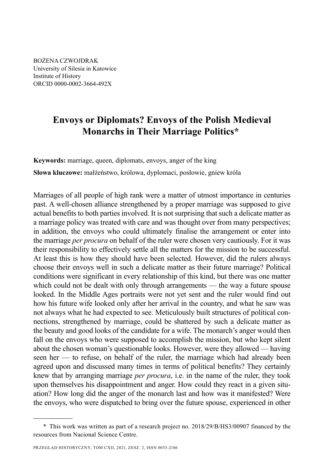BOŻENA CZWOJDRAK University of Silesia in Katowice Institute of History ORCID 0000-0002-3664-492X

## **Envoys or Diplomats? Envoys of the Polish Medieval Monarchs in Their Marriage Politics\***

**Keywords:** marriage, queen, diplomats, envoys, anger of the king **Słowa kluczowe:** małżeństwo, królowa, dyplomaci, posłowie, gniew króla

Marriages of all people of high rank were a matter of utmost importance in centuries past. A well-chosen alliance strengthened by a proper marriage was supposed to give actual benefits to both parties involved. It is not surprising that such a delicate matter as a marriage policy was treated with care and was thought over from many perspectives; in addition, the envoys who could ultimately finalise the arrangement or enter into the marriage *per procura* on behalf of the ruler were chosen very cautiously. For it was their responsibility to effectively settle all the matters for the mission to be successful. At least this is how they should have been selected. However, did the rulers always choose their envoys well in such a delicate matter as their future marriage? Political conditions were significant in every relationship of this kind, but there was one matter which could not be dealt with only through arrangements — the way a future spouse looked. In the Middle Ages portraits were not yet sent and the ruler would find out how his future wife looked only after her arrival in the country, and what he saw was not always what he had expected to see. Meticulously built structures of political connections, strengthened by marriage, could be shattered by such a delicate matter as the beauty and good looks of the candidate for a wife. The monarch's anger would then fall on the envoys who were supposed to accomplish the mission, but who kept silent about the chosen woman's questionable looks. However, were they allowed — having seen her — to refuse, on behalf of the ruler, the marriage which had already been agreed upon and discussed many times in terms of political benefits? They certainly knew that by arranging marriage *per procura*, i.e. in the name of the ruler, they took upon themselves his disappointment and anger. How could they react in a given situation? How long did the anger of the monarch last and how was it manifested? Were the envoys, who were dispatched to bring over the future spouse, experienced in other

<sup>\*</sup> This work was written as part of a research project no. 2018/29/B/HS3/00907 financed by the resources from Nacional Science Centre.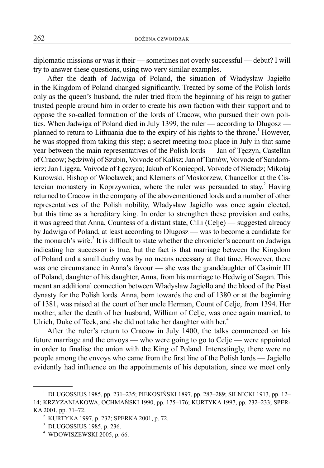diplomatic missions or was it their — sometimes not overly successful — debut? I will try to answer these questions, using two very similar examples.

After the death of Jadwiga of Poland, the situation of Władysław Jagiełło in the Kingdom of Poland changed significantly. Treated by some of the Polish lords only as the queen's husband, the ruler tried from the beginning of his reign to gather trusted people around him in order to create his own faction with their support and to oppose the so-called formation of the lords of Cracow, who pursued their own politics. When Jadwiga of Poland died in July 1399, the ruler — according to Długosz planned to return to Lithuania due to the expiry of his rights to the throne.<sup>1</sup> However, he was stopped from taking this step; a secret meeting took place in July in that same year between the main representatives of the Polish lords — Jan of Tęczyn, Castellan of Cracow; Sędziwój of Szubin, Voivode of Kalisz; Jan of Tarnów, Voivode of Sandomierz; Jan Ligęza, Voivode of Łęczyca; Jakub of Koniecpol, Voivode of Sieradz; Mikołaj Kurowski, Bishop of Włocławek; and Klemens of Moskorzew, Chancellor at the Cistercian monastery in Koprzywnica, where the ruler was persuaded to stay.<sup>2</sup> Having returned to Cracow in the company of the abovementioned lords and a number of other representatives of the Polish nobility, Władysław Jagiełło was once again elected, but this time as a hereditary king. In order to strengthen these provision and oaths, it was agreed that Anna, Countess of a distant state, Cilli (Celje) — suggested already by Jadwiga of Poland, at least according to Długosz — was to become a candidate for the monarch's wife. $3$  It is difficult to state whether the chronicler's account on Jadwiga indicating her successor is true, but the fact is that marriage between the Kingdom of Poland and a small duchy was by no means necessary at that time. However, there was one circumstance in Anna's favour — she was the granddaughter of Casimir III of Poland, daughter of his daughter, Anna, from his marriage to Hedwig of Sagan. This meant an additional connection between Władysław Jagiełło and the blood of the Piast dynasty for the Polish lords. Anna, born towards the end of 1380 or at the beginning of 1381, was raised at the court of her uncle Herman, Count of Celje, from 1394. Her mother, after the death of her husband, William of Celje, was once again married, to Ulrich, Duke of Teck, and she did not take her daughter with her.<sup>4</sup>

After the ruler's return to Cracow in July 1400, the talks commenced on his future marriage and the envoys — who were going to go to Celje — were appointed in order to finalise the union with the King of Poland. Interestingly, there were no people among the envoys who came from the first line of the Polish lords — Jagiełło evidently had influence on the appointments of his deputation, since we meet only

<sup>&</sup>lt;sup>1</sup> DLUGOSSIUS 1985, pp. 231–235; PIEKOSIŃSKI 1897, pp. 287–289; SILNICKI 1913, pp. 12– 14; KRZY ŻANIAKOWA, OCHMAŃSKI 1990, pp. 175–176; KURTYKA 1997, pp. 232–233; SPER-KA 2001, pp. 71-72.

<sup>2</sup> KURTYKA 1997, p. 232; SPERKA 2001, p. 72.

<sup>3</sup> DLUGOSSIUS 1985, p. 236.

<sup>4</sup> WDOWISZEWSKI 2005, p. 66.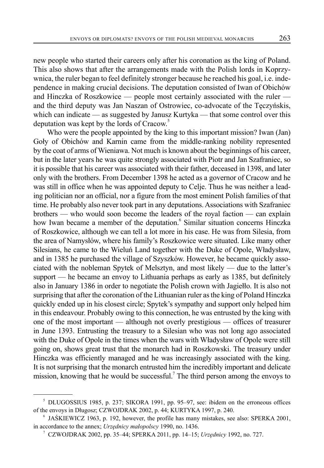new people who started their careers only after his coronation as the king of Poland. This also shows that after the arrangements made with the Polish lords in Koprzywnica, the ruler began to feel definitely stronger because he reached his goal, i.e. independence in making crucial decisions. The deputation consisted of Iwan of Obichów and Hinczka of Roszkowice — people most certainly associated with the ruler and the third deputy was Jan Naszan of Ostrowiec, co-advocate of the Tęczyńskis, which can indicate — as suggested by Janusz Kurtyka — that some control over this deputation was kept by the lords of Cracow.<sup>5</sup>

Who were the people appointed by the king to this important mission? Iwan (Jan) Goły of Obichów and Karnin came from the middle-ranking nobility represented by the coat of arms of Wieniawa. Not much is known about the beginnings of his career, but in the later years he was quite strongly associated with Piotr and Jan Szafraniec, so it is possible that his career was associated with their father, deceased in 1398, and later only with the brothers. From December 1398 he acted as a governor of Cracow and he was still in office when he was appointed deputy to Celje. Thus he was neither a leading politician nor an official, nor a figure from the most eminent Polish families of that time. He probably also never took part in any deputations. Associations with Szafraniec brothers — who would soon become the leaders of the royal faction — can explain how Iwan became a member of the deputation.<sup>6</sup> Similar situation concerns Hinczka of Roszkowice, although we can tell a lot more in his case. He was from Silesia, from the area of Namysłów, where his family's Roszkowice were situated. Like many other Silesians, he came to the Wieluń Land together with the Duke of Opole, Władysław, and in 1385 he purchased the village of Szyszków. However, he became quickly associated with the nobleman Spytek of Melsztyn, and most likely — due to the latter's support — he became an envoy to Lithuania perhaps as early as 1385, but definitely also in January 1386 in order to negotiate the Polish crown with Jagiełło. It is also not surprising that after the coronation of the Lithuanian ruler as the king of Poland Hinczka quickly ended up in his closest circle; Spytek's sympathy and support only helped him in this endeavour. Probably owing to this connection, he was entrusted by the king with one of the most important — although not overly prestigious — offices of treasurer in June 1393. Entrusting the treasury to a Silesian who was not long ago associated with the Duke of Opole in the times when the wars with Władysław of Opole were still going on, shows great trust that the monarch had in Roszkowski. The treasury under Hinczka was efficiently managed and he was increasingly associated with the king. It is not surprising that the monarch entrusted him the incredibly important and delicate mission, knowing that he would be successful.<sup>7</sup> The third person among the envoys to

<sup>&</sup>lt;sup>5</sup> DLUGOSSIUS 1985, p. 237; SIKORA 1991, pp. 95–97, see: ibidem on the erroneous offices of the envoys in Długosz; CZ WOJDRAK 2002, p. 44; KURTYKA 1997, p. 240.

<sup>6</sup> JAŚKIEWICZ 1963, p. 192, however, the profile has many mistakes, see also: SPERKA 2001, in accordance to the annex; *Urzędnicy małopolscy* 1990, no. 1436.

<sup>7</sup> CZWOJDRAK 2002, pp. 35–44; S PERKA 2011, pp. 14–15; *Ur zędnicy* 1992, no. 727.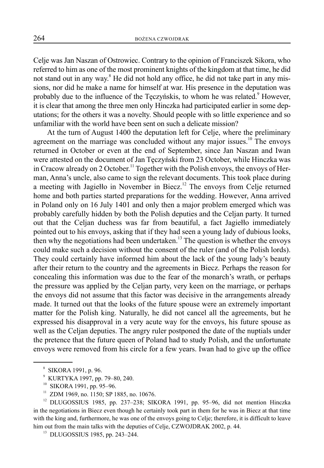Celje was Jan Naszan of Ostrowiec. Contrary to the opinion of Franciszek Sikora, who referred to him as one of the most prominent knights of the kingdom at that time, he did not stand out in any way.<sup>8</sup> He did not hold any office, he did not take part in any missions, nor did he make a name for himself at war. His presence in the deputation was probably due to the influence of the Tęczyńskis, to whom he was related.<sup>9</sup> However, it is clear that among the three men only Hinczka had participated earlier in some deputations; for the others it was a novelty. Should people with so little experience and so unfamiliar with the world have been sent on such a delicate mission?

At the turn of August 1400 the deputation left for Celje, where the preliminary agreement on the marriage was concluded without any major issues.<sup>10</sup> The envoys returned in October or even at the end of September, since Jan Naszan and Iwan were attested on the document of Jan Tęczyński from 23 October, while Hinczka was in Cracow already on 2 October.<sup>11</sup> Together with the Polish envoys, the envoys of Herman, Anna's uncle, also came to sign the relevant documents. This took place during a meeting with Jagiełło in November in Biecz.<sup>12</sup> The envoys from Celje returned home and both parties started preparations for the wedding. However, Anna arrived in Poland only on 16 July 1401 and only then a major problem emerged which was probably carefully hidden by both the Polish deputies and the Celjan party. It turned out that the Celjan duchess was far from beautiful, a fact Jagiełło immediately pointed out to his envoys, asking that if they had seen a young lady of dubious looks, then why the negotiations had been undertaken.<sup>13</sup> The question is whether the envoys could make such a decision without the consent of the ruler (and of the Polish lords). They could certainly have informed him about the lack of the young lady's beauty after their return to the country and the agreements in Biecz. Perhaps the reason for concealing this information was due to the fear of the monarch's wrath, or perhaps the pressure was applied by the Celjan party, very keen on the marriage, or perhaps the envoys did not assume that this factor was decisive in the arrangements already made. It turned out that the looks of the future spouse were an extremely important matter for the Polish king. Naturally, he did not cancel all the agreements, but he expressed his disapproval in a very acute way for the envoys, his future spouse as well as the Celjan deputies. The angry ruler postponed the date of the nuptials under the pretence that the future queen of Poland had to study Polish, and the unfortunate envoys were removed from his circle for a few years. Iwan had to give up the office

<sup>8</sup> SIKORA 1991, p. 96.

<sup>9</sup> KURTYKA 1997, pp. 79–80, 240.

<sup>&</sup>lt;sup>10</sup> SIKORA 1991, pp. 95–96.<br><sup>11</sup> ZDM 1969, po. 1150; SP 1

ZDM 1969, no. 1150; SP 1885, no. 10676.

<sup>&</sup>lt;sup>12</sup> DLUGOSSIUS 1985, pp. 237-238; SIKORA 1991, pp. 95-96, did not mention Hinczka in the negotiations in Biecz even though he certainly took part in them for he was in Biecz at that time with the king and, furthermore, he was one of the envoys going to Celje; therefore, it is difficult to leave him out from the main talks with the deputies of Celje, CZWOJDRAK 2002, p. 44.

<sup>13</sup> DLUGOSSIUS 1985, pp. 243–244.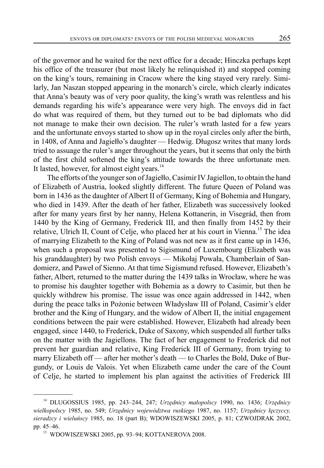of the governor and he waited for the next office for a decade; Hinczka perhaps kept his office of the treasurer (but most likely he relinquished it) and stopped coming on the king's tours, remaining in Cracow where the king stayed very rarely. Similarly, Jan Naszan stopped appearing in the monarch's circle, which clearly indicates that Anna's beauty was of very poor quality, the king's wrath was relentless and his demands regarding his wife's appearance were very high. The envoys did in fact do what was required of them, but they turned out to be bad diplomats who did not manage to make their own decision. The ruler's wrath lasted for a few years and the unfortunate envoys started to show up in the royal circles only after the birth, in 1408, of Anna and Jagiełło's daughter — Hedwig. Długosz writes that many lords tried to assuage the ruler's anger throughout the years, but it seems that only the birth of the first child softened the king's attitude towards the three unfortunate men. It lasted, however, for almost eight years.<sup>14</sup>

The efforts of the younger son of Jagiełło, Casimir IV Jagiellon, to obtain the hand of Elizabeth of Austria, looked slightly different. The future Queen of Poland was born in 1436 as the daughter of Albert II of Germany, King of Bohemia and Hungary, who died in 1439. After the death of her father, Elizabeth was successively looked after for many years first by her nanny, Helena Kottanerin, in Visegrád, then from 1440 by the King of Germany, Frederick III, and then finally from 1452 by their relative, Ulrich II, Count of Celje, who placed her at his court in Vienna.<sup>15</sup> The idea of marrying Elizabeth to the King of Poland was not new as it first came up in 1436, when such a proposal was presented to Sigismund of Luxembourg (Elizabeth was his granddaughter) by two Polish envoys — Mikołaj Powała, Chamberlain of Sandomierz, and Paweł of Sienno. At that time Sigismund refused. However, Elizabeth's father, Albert, returned to the matter during the 1439 talks in Wrocław, where he was to promise his daughter together with Bohemia as a dowry to Casimir, but then he quickly withdrew his promise. The issue was once again addressed in 1442, when during the peace talks in Pożonie between Władysław III of Poland, Casimir's elder brother and the King of Hungary, and the widow of Albert II, the initial engagement conditions between the pair were established. However, Elizabeth had already been engaged, since 1440, to Frederick, Duke of Saxony, which suspended all further talks on the matter with the Jagiellons. The fact of her engagement to Frederick did not prevent her guardian and relative, King Frederick III of Germany, from trying to marry Elizabeth off — after her mother's death — to Charles the Bold, Duke of Burgundy, or Louis de Valois. Yet when Elizabeth came under the care of the Count of Celje, he started to implement his plan against the activities of Frederick III

<sup>14</sup> DLUGOSSIUS 1985, pp. 243–244, 247; *Urzędnicy małopolscy* 1990, no. 1436; *Urz ędnicy wielkopolscy* 1985, no. 549; *Urzędnicy województwa ruskiego* 1987, no. 1157; *Urzędnicy łęczyccy, sieradzcy i wieluńscy* 1985, no. 18 (part B); WDOWISZEWSKI 2005, p. 81; CZWOJDRAK 2002, pp. 45–46.<br><sup>15</sup> WDOWISZEWSKI 2005, pp. 93–94; KOTTANEROVA 2008.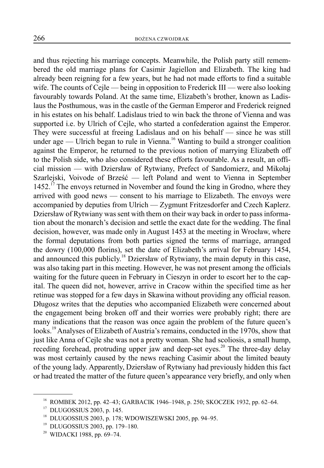and thus rejecting his marriage concepts. Meanwhile, the Polish party still remembered the old marriage plans for Casimir Jagiellon and Elizabeth. The king had already been reigning for a few years, but he had not made efforts to find a suitable wife. The counts of Cejle — being in opposition to Frederick III — were also looking favourably towards Poland. At the same time, Elizabeth's brother, known as Ladislaus the Posthumous, was in the castle of the German Emperor and Frederick reigned in his estates on his behalf. Ladislaus tried to win back the throne of Vienna and was supported i.e. by Ulrich of Cejle, who started a confederation against the Emperor. They were successful at freeing Ladislaus and on his behalf — since he was still under age — Ulrich began to rule in Vienna.<sup>16</sup> Wanting to build a stronger coalition against the Emperor, he returned to the previous notion of marrying Elizabeth off to the Polish side, who also considered these efforts favourable. As a result, an official mission — with Dziersław of Rytwiany, Prefect of Sandomierz, and Mikołaj Szarlejski, Voivode of Brześć — left Poland and went to Vienna in September 1452.<sup>17</sup> The envoys returned in November and found the king in Grodno, where they arrived with good news — consent to his marriage to Elizabeth. The envoys were accompanied by deputies from Ulrich — Zygmunt Fritzesdorfer and Czech Kaplerz. Dziersław of Rytwiany was sent with them on their way back in order to pass information about the monarch's decision and settle the exact date for the wedding. The final decision, however, was made only in August 1453 at the meeting in Wrocław, where the formal deputations from both parties signed the terms of marriage, arranged the dowry (100,000 florins), set the date of Elizabeth's arrival for February 1454, and announced this publicly.<sup>18</sup> Dziersław of Rytwiany, the main deputy in this case, was also taking part in this meeting. However, he was not present among the officials waiting for the future queen in February in Cieszyn in order to escort her to the capital. The queen did not, however, arrive in Cracow within the specified time as her retinue was stopped for a few days in Skawina without providing any official reason. Długosz writes that the deputies who accompanied Elizabeth were concerned about the engagement being broken off and their worries were probably right; there are many indications that the reason was once again the problem of the future queen's looks.<sup>19</sup> Analyses of Elizabeth of Austria's remains, conducted in the 1970s, show that just like Anna of Cejle she was not a pretty woman. She had scoliosis, a small hump, receding forehead, protruding upper jaw and deep-set eyes.<sup>20</sup> The three-day delay was most certainly caused by the news reaching Casimir about the limited beauty of the young lady. Apparently, Dziersław of Rytwiany had previously hidden this fact or had treated the matter of the future queen's appearance very briefly, and only when

<sup>&</sup>lt;sup>16</sup> ROMBEK 2012, pp. 42-43; GARBACIK 1946-1948, p. 250; SKOCZEK 1932, pp. 62-64.

<sup>17</sup> DLUGOSSIUS 2003, p. 145.

<sup>18</sup> DLUGOSSIUS 2003, p. 178; WDOWISZEWSKI 2005, pp. 94–95.

<sup>19</sup> DLUGOSSIUS 2003, pp. 179–180.

<sup>&</sup>lt;sup>20</sup> WIDACKI 1988, pp. 69-74.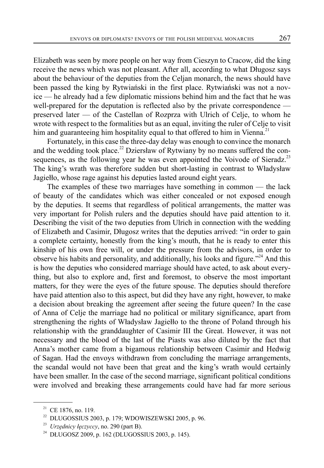Elizabeth was seen by more people on her way from Cieszyn to Cracow, did the king receive the news which was not pleasant. After all, according to what Długosz says about the behaviour of the deputies from the Celjan monarch, the news should have been passed the king by Rytwiański in the first place. Rytwiański was not a novice — he already had a few diplomatic missions behind him and the fact that he was well-prepared for the deputation is reflected also by the private correspondence preserved later — of the Castellan of Rozprza with Ulrich of Celje, to whom he wrote with respect to the formalities but as an equal, inviting the ruler of Celje to visit him and guaranteeing him hospitality equal to that offered to him in Vienna.<sup>21</sup>

Fortunately, in this case the three-day delay was enough to convince the monarch and the wedding took place.<sup>22</sup> Dziersław of Rytwiany by no means suffered the consequences, as the following year he was even appointed the Voivode of Sieradz.<sup>23</sup> The king's wrath was therefore sudden but short-lasting in contrast to Władysław Jagiełło, whose rage against his deputies lasted around eight years.

The examples of these two marriages have something in common — the lack of beauty of the candidates which was either concealed or not exposed enough by the deputies. It seems that regardless of political arrangements, the matter was very important for Polish rulers and the deputies should have paid attention to it. Describing the visit of the two deputies from Ulrich in connection with the wedding of Elizabeth and Casimir, Długosz writes that the deputies arrived: "in order to gain a complete certainty, honestly from the king's mouth, that he is ready to enter this kinship of his own free will, or under the pressure from the advisors, in order to observe his habits and personality, and additionally, his looks and figure."<sup>24</sup> And this is how the deputies who considered marriage should have acted, to ask about everything, but also to explore and, first and foremost, to observe the most important matters, for they were the eyes of the future spouse. The deputies should therefore have paid attention also to this aspect, but did they have any right, however, to make a decision about breaking the agreement after seeing the future queen? In the case of Anna of Celje the marriage had no political or military significance, apart from strengthening the rights of Władysław Jagiełło to the throne of Poland through his relationship with the granddaughter of Casimir III the Great. However, it was not necessary and the blood of the last of the Piasts was also diluted by the fact that Anna's mother came from a bigamous relationship between Casimir and Hedwig of Sagan. Had the envoys withdrawn from concluding the marriage arrangements, the scandal would not have been that great and the king's wrath would certainly have been smaller. In the case of the second marriage, significant political conditions were involved and breaking these arrangements could have had far more serious

<sup>&</sup>lt;sup>21</sup> CE 1876, no. 119.

 $22$  DLUGOSSIUS 2003, p. 179; WDOWISZEWSKI 2005, p. 96.

<sup>23</sup> *Urzędnicy łęczyccy*, no. 290 (part B).

<sup>24</sup> DŁUGOSZ 2009, p. 162 (DLUGOSSIUS 2003, p. 145).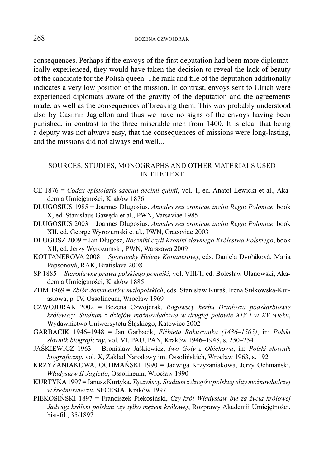consequences. Perhaps if the envoys of the first deputation had been more diplomatically experienced, they would have taken the decision to reveal the lack of beauty of the candidate for the Polish queen. The rank and file of the deputation additionally indicates a very low position of the mission. In contrast, envoys sent to Ulrich were experienced diplomats aware of the gravity of the deputation and the agreements made, as well as the consequences of breaking them. This was probably understood also by Casimir Jagiellon and thus we have no signs of the envoys having been punished, in contrast to the three miserable men from 1400. It is clear that being a deputy was not always easy, that the consequences of missions were long-lasting, and the missions did not always end well...

## SOURCES, STUDIES, MONOGRAPHS AND OTHER MATERIALS USED IN THE TEXT

- CE 1876 = *Codex epistolaris saeculi decimi quinti*, vol. 1, ed. Anatol Lewicki et al., Akademia Umiejętności, Kraków 1876
- DLUGOSIUS 1985 = Joannes Dlugosius, *Annales seu cronicae incliti Regni Poloniae*, book X, ed. Stanislaus Gawęda et al., PWN, Varsaviae 1985
- DLUGOSIUS 2003 = Joannes Dlugosius, *Annales seu cronicae incliti Regni Poloniae*, book XII, ed. George Wyrozumski et al., PWN, Cracoviae 2003
- DŁUGOSZ 2009 = Jan Długosz, *Roczniki czyli Kroniki sławnego Królestwa Polskiego*, book XII, ed. Jerzy Wyrozumski, PWN, Warszawa 2009
- KOTTANEROVA 2008 = *Spomienky Heleny Kottanerovej*, eds. Daniela Dvořáková, Maria Papsonová, RAK, Bratislava 2008
- SP 1885 = *Starodawne prawa polskiego pomniki*, vol. VIII/1, ed. Bolesław Ulanowski, Akademia Umiejętności, Kraków 1885
- ZDM 1969 = *Zbiór dokumentów małopolskich*, eds. Stanisław Kuraś, Irena Sułkowska-Kurasiowa, p. IV, Ossolineum, Wrocław 1969
- CZWOJDRAK 2002 = Bożena Czwojdrak, *Rogowscy herbu Działosza podskarbiowie królewscy. Studium z dziejów możnowładztwa w drugiej połowie XIV i w XV wieku*, Wydawnictwo Uniwersytetu Śląskiego, Katowice 2002
- GARBACIK 1946–1948 = Jan Garbacik, *Elżbieta Rakuszanka (1436–1505)*, in: *Polski słownik biograficzny*, vol. VI, PAU, PAN, Kraków 1946–1948, s. 250–254
- JAŚKIEWICZ 1963 = Bronisław Jaśkiewicz, *Iwo Goły z Obichowa*, in: *Polski słownik biograficzny*, vol. X, Zakład Narodowy im. Ossolińskich, Wrocław 1963, s. 192
- KRZYŻANIAKOWA, OCHMAŃSKI 1990 = Jadwiga Krzyżaniakowa, Jerzy Ochmański, *Władysław II Jagiełło*, Ossolineum, Wrocław 1990
- KURTYKA 1997 = Janusz Kurtyka, *Tęczyńscy. Studium z dziejów polskiej elity możnowładczej w średniowieczu*, SECESJA, Kraków 1997
- PIEKOSIŃSKI 1897 = Franciszek Piekosiński, *Czy król Władysław był za życia królowej Jadwigi królem polskim czy tylko mężem królowej*, Rozprawy Akademii Umiejętności, hist-fil., 35/1897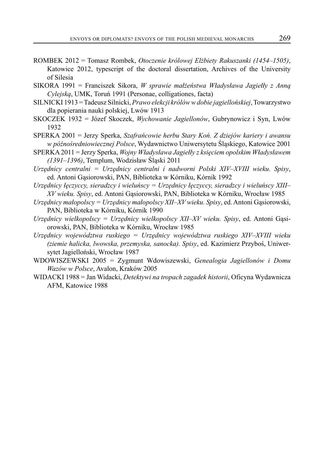- ROMBEK 2012 = Tomasz Rombek, *Otoczenie królowej Elżbiety Rakuszanki (1454–1505)*, Katowice 2012, typescript of the doctoral dissertation, Archives of the University of Silesia
- SIKORA 1991 = Franciszek Sikora, *W sprawie małżeństwa Władysława Jagiełły z Anną Cylejską*, UMK, Toruń 1991 (Personae, colligationes, facta)
- SILNICKI 1913 = Tadeusz Silnicki, *Prawo elekcji królów w dobie jagiellońskiej*, Towarzystwo dla popierania nauki polskiej, Lwów 1913
- SKOCZEK 1932 = Józef Skoczek, *Wychowanie Jagiellonów*, Gubrynowicz i Syn, Lwów 1932

SPERKA 2001 = Jerzy Sperka, *Szafrańcowie herbu Stary Koń. Z dziejów kariery i awansu w późnośredniowiecznej Polsce*, Wydawnictwo Uniwersytetu Śląskiego, Katowice 2001

- SPERKA 2011 = Jerzy Sperka, *Wojny Władysława Jagiełły z księciem opolskim Władysławem (1391–1396)*, Templum, Wodzisław Śląski 2011
- *Urzędnicy centralni = Urzędnicy centralni i nadworni Polski XIV–XVIII wieku. Spisy*, ed. Antoni Gąsiorowski, PAN, Biblioteka w Kórniku, Kórnik 1992

*Urzędnicy łęczyccy, sieradzcy i wieluńscy = Urzędnicy łęczyccy, sieradzcy i wieluńscy XIII– XV wieku. Spisy*, ed. Antoni Gąsiorowski, PAN, Biblioteka w Kórniku, Wrocław 1985

- *Urzędnicy małopolscy = Urzędnicy małopolscy XII–XV wieku. Spisy*, ed. Antoni Gąsiorowski, PAN, Biblioteka w Kórniku, Kórnik 1990
- *Urzędnicy wielkopolscy = Urzędnicy wielkopolscy XII–XV wieku. Spisy*, ed. Antoni Gąsiorowski, PAN, Biblioteka w Kórniku, Wrocław 1985
- *Urzędnicy województwa ruskiego = Urzędnicy województwa ruskiego XIV–XVIII wieku (ziemie halicka, lwowska, przemyska, sanocka). Spisy*, ed. Kazimierz Przyboś, Uniwersytet Jagielloński, Wrocław 1987
- WDOWISZEWSKI 2005 = Zygmunt Wdowiszewski, *Genealogia Jagiellonów i Domu Wazów w Polsce*, Avalon, Kraków 2005
- WIDACKI 1988 = Jan Widacki, *Detektywi na tropach zagadek historii*, Oficyna Wydawnicza AFM, Katowice 1988